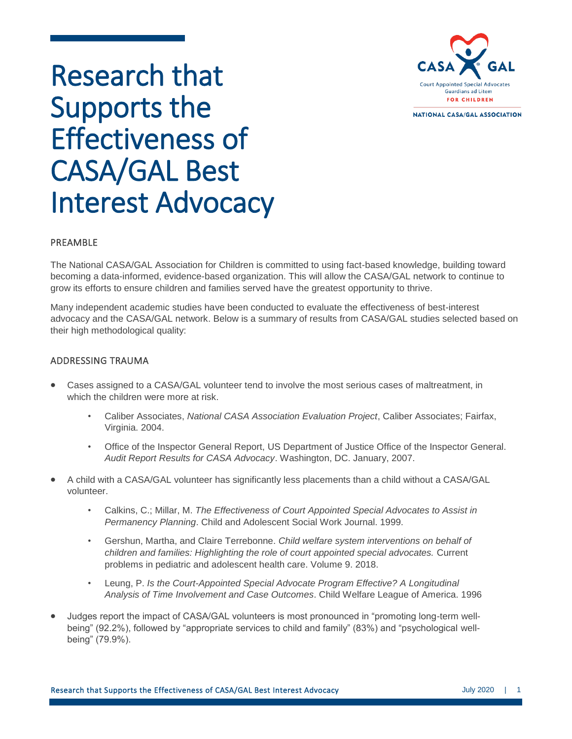

NATIONAL CASA/GAL ASSOCIATION

# Research that Supports the Effectiveness of CASA/GAL Best Interest Advocacy

## PREAMBLE

The National CASA/GAL Association for Children is committed to using fact-based knowledge, building toward becoming a data-informed, evidence-based organization. This will allow the CASA/GAL network to continue to grow its efforts to ensure children and families served have the greatest opportunity to thrive.

Many independent academic studies have been conducted to evaluate the effectiveness of best-interest advocacy and the CASA/GAL network. Below is a summary of results from CASA/GAL studies selected based on their high methodological quality:

## ADDRESSING TRAUMA

- Cases assigned to a CASA/GAL volunteer tend to involve the most serious cases of maltreatment, in which the children were more at risk.
	- Caliber Associates, *National CASA Association Evaluation Project*, Caliber Associates; Fairfax, Virginia. 2004.
	- Office of the Inspector General Report, US Department of Justice Office of the Inspector General. *Audit Report Results for CASA Advocacy*. Washington, DC. January, 2007.
- A child with a CASA/GAL volunteer has significantly less placements than a child without a CASA/GAL volunteer.
	- Calkins, C.; Millar, M. *The Effectiveness of Court Appointed Special Advocates to Assist in Permanency Planning*. Child and Adolescent Social Work Journal. 1999.
	- Gershun, Martha, and Claire Terrebonne. *Child welfare system interventions on behalf of children and families: Highlighting the role of court appointed special advocates.* Current problems in pediatric and adolescent health care. Volume 9. 2018.
	- Leung, P. *Is the Court-Appointed Special Advocate Program Effective? A Longitudinal Analysis of Time Involvement and Case Outcomes*. Child Welfare League of America. 1996
- Judges report the impact of CASA/GAL volunteers is most pronounced in "promoting long-term wellbeing" (92.2%), followed by "appropriate services to child and family" (83%) and "psychological wellbeing" (79.9%).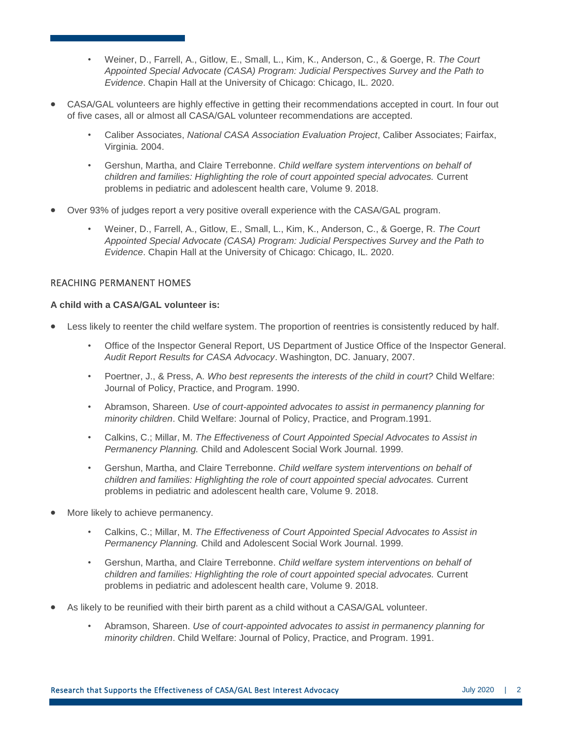- Weiner, D., Farrell, A., Gitlow, E., Small, L., Kim, K., Anderson, C., & Goerge, R. *The Court Appointed Special Advocate (CASA) Program: Judicial Perspectives Survey and the Path to Evidence*. Chapin Hall at the University of Chicago: Chicago, IL. 2020.
- CASA/GAL volunteers are highly effective in getting their recommendations accepted in court. In four out of five cases, all or almost all CASA/GAL volunteer recommendations are accepted.
	- Caliber Associates, *National CASA Association Evaluation Project*, Caliber Associates; Fairfax, Virginia. 2004.
	- Gershun, Martha, and Claire Terrebonne. *Child welfare system interventions on behalf of children and families: Highlighting the role of court appointed special advocates.* Current problems in pediatric and adolescent health care, Volume 9. 2018.
- Over 93% of judges report a very positive overall experience with the CASA/GAL program.
	- Weiner, D., Farrell, A., Gitlow, E., Small, L., Kim, K., Anderson, C., & Goerge, R. *The Court Appointed Special Advocate (CASA) Program: Judicial Perspectives Survey and the Path to Evidence*. Chapin Hall at the University of Chicago: Chicago, IL. 2020.

### REACHING PERMANENT HOMES

#### **A child with a CASA/GAL volunteer is:**

- Less likely to reenter the child welfare system. The proportion of reentries is consistently reduced by half.
	- Office of the Inspector General Report, US Department of Justice Office of the Inspector General. *Audit Report Results for CASA Advocacy*. Washington, DC. January, 2007.
	- Poertner, J., & Press, A. *Who best represents the interests of the child in court?* Child Welfare: Journal of Policy, Practice, and Program. 1990.
	- Abramson, Shareen. *Use of court-appointed advocates to assist in permanency planning for minority children*. Child Welfare: Journal of Policy, Practice, and Program.1991.
	- Calkins, C.; Millar, M. *The Effectiveness of Court Appointed Special Advocates to Assist in Permanency Planning.* Child and Adolescent Social Work Journal. 1999.
	- Gershun, Martha, and Claire Terrebonne. *Child welfare system interventions on behalf of children and families: Highlighting the role of court appointed special advocates.* Current problems in pediatric and adolescent health care, Volume 9. 2018.
- More likely to achieve permanency.
	- Calkins, C.; Millar, M. *The Effectiveness of Court Appointed Special Advocates to Assist in Permanency Planning.* Child and Adolescent Social Work Journal. 1999.
	- Gershun, Martha, and Claire Terrebonne. *Child welfare system interventions on behalf of children and families: Highlighting the role of court appointed special advocates.* Current problems in pediatric and adolescent health care, Volume 9. 2018.
- As likely to be reunified with their birth parent as a child without a CASA/GAL volunteer.
	- Abramson, Shareen. *Use of court-appointed advocates to assist in permanency planning for minority children*. Child Welfare: Journal of Policy, Practice, and Program. 1991.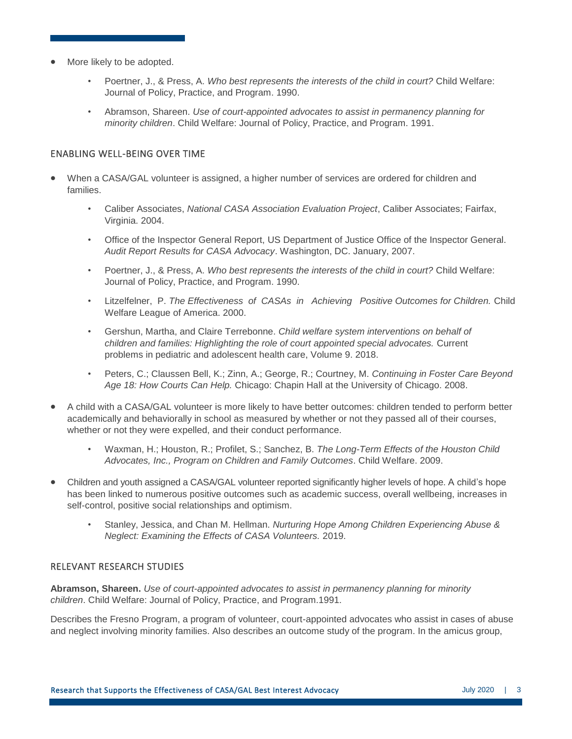- More likely to be adopted.
	- Poertner, J., & Press, A. *Who best represents the interests of the child in court?* Child Welfare: Journal of Policy, Practice, and Program. 1990.
	- Abramson, Shareen. *Use of court-appointed advocates to assist in permanency planning for minority children*. Child Welfare: Journal of Policy, Practice, and Program. 1991.

## ENABLING WELL-BEING OVER TIME

- When a CASA/GAL volunteer is assigned, a higher number of services are ordered for children and families.
	- Caliber Associates, *National CASA Association Evaluation Project*, Caliber Associates; Fairfax, Virginia. 2004.
	- Office of the Inspector General Report, US Department of Justice Office of the Inspector General. *Audit Report Results for CASA Advocacy*. Washington, DC. January, 2007.
	- Poertner, J., & Press, A. *Who best represents the interests of the child in court?* Child Welfare: Journal of Policy, Practice, and Program. 1990.
	- Litzelfelner, P. *The Effectiveness of CASAs in Achieving Positive Outcomes for Children.* Child Welfare League of America. 2000.
	- Gershun, Martha, and Claire Terrebonne. *Child welfare system interventions on behalf of children and families: Highlighting the role of court appointed special advocates.* Current problems in pediatric and adolescent health care, Volume 9. 2018.
	- Peters, C.; Claussen Bell, K.; Zinn, A.; George, R.; Courtney, M. *Continuing in Foster Care Beyond Age 18: How Courts Can Help.* Chicago: Chapin Hall at the University of Chicago. 2008.
- A child with a CASA/GAL volunteer is more likely to have better outcomes: children tended to perform better academically and behaviorally in school as measured by whether or not they passed all of their courses, whether or not they were expelled, and their conduct performance.
	- Waxman, H.; Houston, R.; Profilet, S.; Sanchez, B. *The Long-Term Effects of the Houston Child Advocates, Inc., Program on Children and Family Outcomes*. Child Welfare. 2009.
- Children and youth assigned a CASA/GAL volunteer reported significantly higher levels of hope. A child's hope has been linked to numerous positive outcomes such as academic success, overall wellbeing, increases in self-control, positive social relationships and optimism.
	- Stanley, Jessica, and Chan M. Hellman. *Nurturing Hope Among Children Experiencing Abuse & Neglect: Examining the Effects of CASA Volunteers.* 2019.

## RELEVANT RESEARCH STUDIES

**Abramson, Shareen.** *Use of court-appointed advocates to assist in permanency planning for minority children*. Child Welfare: Journal of Policy, Practice, and Program.1991.

Describes the Fresno Program, a program of volunteer, court-appointed advocates who assist in cases of abuse and neglect involving minority families. Also describes an outcome study of the program. In the amicus group,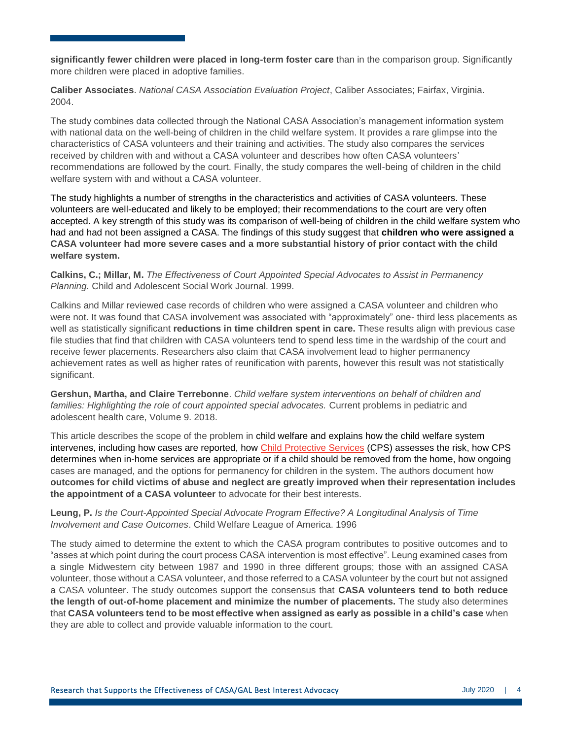**significantly fewer children were placed in long-term foster care** than in the comparison group. Significantly more children were placed in adoptive families.

**Caliber Associates**. *National CASA Association Evaluation Project*, Caliber Associates; Fairfax, Virginia. 2004.

The study combines data collected through the National CASA Association's management information system with national data on the well-being of children in the child welfare system. It provides a rare glimpse into the characteristics of CASA volunteers and their training and activities. The study also compares the services received by children with and without a CASA volunteer and describes how often CASA volunteers' recommendations are followed by the court. Finally, the study compares the well-being of children in the child welfare system with and without a CASA volunteer.

The study highlights a number of strengths in the characteristics and activities of CASA volunteers. These volunteers are well-educated and likely to be employed; their recommendations to the court are very often accepted. A key strength of this study was its comparison of well-being of children in the child welfare system who had and had not been assigned a CASA. The findings of this study suggest that **children who were assigned a CASA volunteer had more severe cases and a more substantial history of prior contact with the child welfare system.**

**Calkins, C.; Millar, M.** *The Effectiveness of Court Appointed Special Advocates to Assist in Permanency Planning.* Child and Adolescent Social Work Journal. 1999.

Calkins and Millar reviewed case records of children who were assigned a CASA volunteer and children who were not. It was found that CASA involvement was associated with "approximately" one- third less placements as well as statistically significant **reductions in time children spent in care.** These results align with previous case file studies that find that children with CASA volunteers tend to spend less time in the wardship of the court and receive fewer placements. Researchers also claim that CASA involvement lead to higher permanency achievement rates as well as higher rates of reunification with parents, however this result was not statistically significant.

**Gershun, Martha, and Claire Terrebonne**. *Child welfare system interventions on behalf of children and families: Highlighting the role of court appointed special advocates.* Current problems in pediatric and adolescent health care, Volume 9. 2018.

This article describes the scope of the problem in child welfare and explains how the child welfare system intervenes, including how cases are reported, how Child Protective Services (CPS) assesses the risk, how CPS determines when in-home services are appropriate or if a child should be removed from the home, how ongoing cases are managed, and the options for permanency for children in the system. The authors document how **outcomes for child victims of abuse and neglect are greatly improved when their representation includes the appointment of a CASA volunteer** to advocate for their best interests.

#### **Leung, P.** *Is the Court-Appointed Special Advocate Program Effective? A Longitudinal Analysis of Time Involvement and Case Outcomes*. Child Welfare League of America. 1996

The study aimed to determine the extent to which the CASA program contributes to positive outcomes and to "asses at which point during the court process CASA intervention is most effective". Leung examined cases from a single Midwestern city between 1987 and 1990 in three different groups; those with an assigned CASA volunteer, those without a CASA volunteer, and those referred to a CASA volunteer by the court but not assigned a CASA volunteer. The study outcomes support the consensus that **CASA volunteers tend to both reduce the length of out-of-home placement and minimize the number of placements.** The study also determines that **CASA volunteers tend to be most effective when assigned as early as possible in a child's case** when they are able to collect and provide valuable information to the court.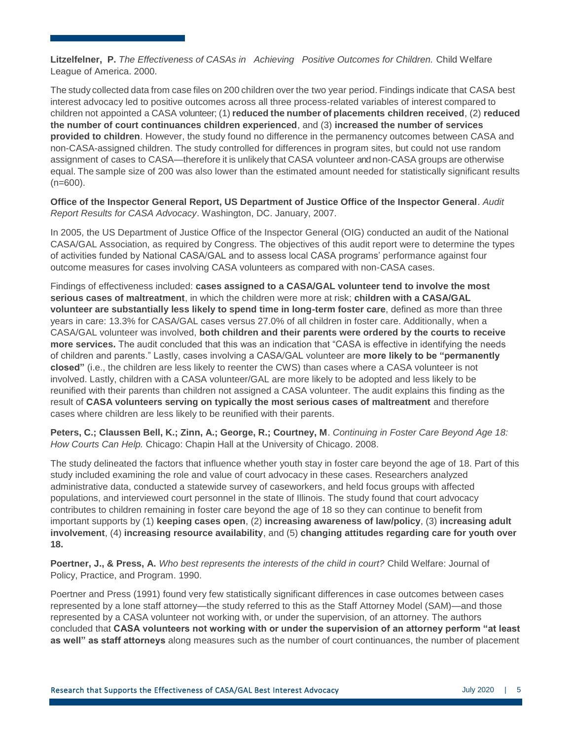**Litzelfelner, P.** *The Effectiveness of CASAs in Achieving Positive Outcomes for Children.* Child Welfare League of America. 2000.

The study collected data from case files on 200 children over the two year period. Findings indicate that CASA best interest advocacy led to positive outcomes across all three process-related variables of interest compared to children not appointed a CASA volunteer; (1) **reduced the number of placements children received**, (2) **reduced the number of court continuances children experienced**, and (3) **increased the number of services provided to children**. However, the study found no difference in the permanency outcomes between CASA and non-CASA-assigned children. The study controlled for differences in program sites, but could not use random assignment of cases to CASA—therefore it is unlikely that CASA volunteer and non-CASA groups are otherwise equal. The sample size of 200 was also lower than the estimated amount needed for statistically significant results  $(n=600)$ .

**Office of the Inspector General Report, US Department of Justice Office of the Inspector General**. *Audit Report Results for CASA Advocacy*. Washington, DC. January, 2007.

In 2005, the US Department of Justice Office of the Inspector General (OIG) conducted an audit of the National CASA/GAL Association, as required by Congress. The objectives of this audit report were to determine the types of activities funded by National CASA/GAL and to assess local CASA programs' performance against four outcome measures for cases involving CASA volunteers as compared with non-CASA cases.

Findings of effectiveness included: **cases assigned to a CASA/GAL volunteer tend to involve the most serious cases of maltreatment**, in which the children were more at risk; **children with a CASA/GAL volunteer are substantially less likely to spend time in long-term foster care**, defined as more than three years in care: 13.3% for CASA/GAL cases versus 27.0% of all children in foster care. Additionally, when a CASA/GAL volunteer was involved, **both children and their parents were ordered by the courts to receive more services.** The audit concluded that this was an indication that "CASA is effective in identifying the needs of children and parents." Lastly, cases involving a CASA/GAL volunteer are **more likely to be "permanently closed"** (i.e., the children are less likely to reenter the CWS) than cases where a CASA volunteer is not involved. Lastly, children with a CASA volunteer/GAL are more likely to be adopted and less likely to be reunified with their parents than children not assigned a CASA volunteer. The audit explains this finding as the result of **CASA volunteers serving on typically the most serious cases of maltreatment** and therefore cases where children are less likely to be reunified with their parents.

**Peters, C.; Claussen Bell, K.; Zinn, A.; George, R.; Courtney, M**. *Continuing in Foster Care Beyond Age 18: How Courts Can Help.* Chicago: Chapin Hall at the University of Chicago. 2008.

The study delineated the factors that influence whether youth stay in foster care beyond the age of 18. Part of this study included examining the role and value of court advocacy in these cases. Researchers analyzed administrative data, conducted a statewide survey of caseworkers, and held focus groups with affected populations, and interviewed court personnel in the state of Illinois. The study found that court advocacy contributes to children remaining in foster care beyond the age of 18 so they can continue to benefit from important supports by (1) **keeping cases open**, (2) **increasing awareness of law/policy**, (3) **increasing adult involvement**, (4) **increasing resource availability**, and (5) **changing attitudes regarding care for youth over 18.**

**Poertner, J., & Press, A.** *Who best represents the interests of the child in court?* Child Welfare: Journal of Policy, Practice, and Program. 1990.

Poertner and Press (1991) found very few statistically significant differences in case outcomes between cases represented by a lone staff attorney—the study referred to this as the Staff Attorney Model (SAM)—and those represented by a CASA volunteer not working with, or under the supervision, of an attorney. The authors concluded that **CASA volunteers not working with or under the supervision of an attorney perform "at least as well" as staff attorneys** along measures such as the number of court continuances, the number of placement